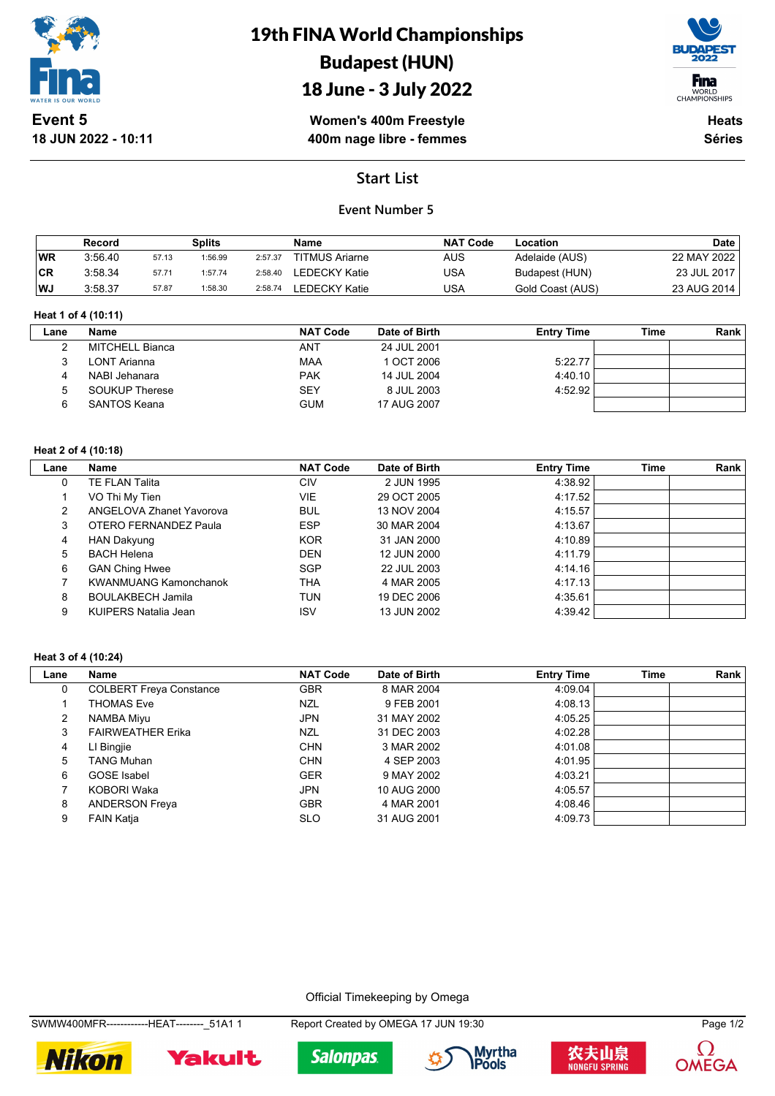

**18 JUN 2022 - 10:11**

# 19th FINA World Championships Budapest (HUN)





**Heats**

**Séries**

**Women's 400m Freestyle 400m nage libre - femmes**

**Start List**

## **Event Number 5**

|           | Record  |       | <b>Splits</b> |         | <b>Name</b>           | <b>NAT Code</b> | Location         | <b>Date</b> |
|-----------|---------|-------|---------------|---------|-----------------------|-----------------|------------------|-------------|
| <b>WR</b> | 3:56.40 | 57.13 | 1:56.99       | 2:57.37 | <b>TITMUS Ariarne</b> | <b>AUS</b>      | Adelaide (AUS)   | 22 MAY 2022 |
| <b>CR</b> | 3:58.34 | 57.71 | 1:57.74       | 2:58.40 | LEDECKY Katie         | USA             | Budapest (HUN)   | 23 JUL 2017 |
| <b>WJ</b> | 3:58.37 | 57.87 | 1:58.30       | 2:58.74 | LEDECKY Katie         | USA             | Gold Coast (AUS) | 23 AUG 2014 |

### **Heat 1 of 4 (10:11)**

| Lane | Name                  | <b>NAT Code</b> | Date of Birth | <b>Entry Time</b> | Time | Rank |
|------|-----------------------|-----------------|---------------|-------------------|------|------|
|      | MITCHELL Bianca       | ANT             | 24 JUL 2001   |                   |      |      |
|      | LONT Arianna          | MAA             | 1 OCT 2006    | 5:22.77           |      |      |
|      | NABI Jehanara         | <b>PAK</b>      | 14 JUL 2004   | 4:40.10           |      |      |
|      | <b>SOUKUP Therese</b> | <b>SEY</b>      | 8 JUL 2003    | 4:52.92           |      |      |
|      | SANTOS Keana          | <b>GUM</b>      | 17 AUG 2007   |                   |      |      |
|      |                       |                 |               |                   |      |      |

### **Heat 2 of 4 (10:18)**

| Lane | Name                         | <b>NAT Code</b> | Date of Birth | <b>Entry Time</b> | <b>Time</b> | Rank |
|------|------------------------------|-----------------|---------------|-------------------|-------------|------|
| 0    | TE FLAN Talita               | CIV             | 2 JUN 1995    | 4:38.92           |             |      |
|      | VO Thi My Tien               | VIE             | 29 OCT 2005   | 4:17.52           |             |      |
| 2    | ANGELOVA Zhanet Yavorova     | <b>BUL</b>      | 13 NOV 2004   | 4:15.57           |             |      |
| 3    | OTERO FERNANDEZ Paula        | <b>ESP</b>      | 30 MAR 2004   | 4:13.67           |             |      |
| 4    | HAN Dakyung                  | <b>KOR</b>      | 31 JAN 2000   | 4:10.89           |             |      |
| 5    | <b>BACH Helena</b>           | <b>DEN</b>      | 12 JUN 2000   | 4:11.79           |             |      |
| 6    | <b>GAN Ching Hwee</b>        | <b>SGP</b>      | 22 JUL 2003   | 4:14.16           |             |      |
|      | <b>KWANMUANG Kamonchanok</b> | THA             | 4 MAR 2005    | 4:17.13           |             |      |
| 8    | <b>BOULAKBECH Jamila</b>     | TUN             | 19 DEC 2006   | 4:35.61           |             |      |
| 9    | KUIPERS Natalia Jean         | <b>ISV</b>      | 13 JUN 2002   | 4:39.42           |             |      |

#### **Heat 3 of 4 (10:24)**

| Lane | Name                           | <b>NAT Code</b> | Date of Birth | <b>Entry Time</b> | <b>Time</b> | Rank |
|------|--------------------------------|-----------------|---------------|-------------------|-------------|------|
| 0    | <b>COLBERT Freya Constance</b> | <b>GBR</b>      | 8 MAR 2004    | 4:09.04           |             |      |
|      | <b>THOMAS Eve</b>              | NZL             | 9 FEB 2001    | 4:08.13           |             |      |
| 2    | NAMBA Miyu                     | <b>JPN</b>      | 31 MAY 2002   | 4:05.25           |             |      |
| 3    | <b>FAIRWEATHER Erika</b>       | NZL             | 31 DEC 2003   | 4:02.28           |             |      |
| 4    | LI Bingjie                     | <b>CHN</b>      | 3 MAR 2002    | 4:01.08           |             |      |
| 5    | <b>TANG Muhan</b>              | <b>CHN</b>      | 4 SEP 2003    | 4:01.95           |             |      |
| 6    | <b>GOSE</b> Isabel             | <b>GER</b>      | 9 MAY 2002    | 4:03.21           |             |      |
|      | KOBORI Waka                    | <b>JPN</b>      | 10 AUG 2000   | 4:05.57           |             |      |
| 8    | <b>ANDERSON Freya</b>          | <b>GBR</b>      | 4 MAR 2001    | 4:08.46           |             |      |
| 9    | <b>FAIN Katja</b>              | <b>SLO</b>      | 31 AUG 2001   | 4:09.73           |             |      |

Official Timekeeping by Omega

SWMW400MFR-------------HEAT--------\_51A1 1 Report Created by OMEGA 17 JUN 19:30 Page 1/2